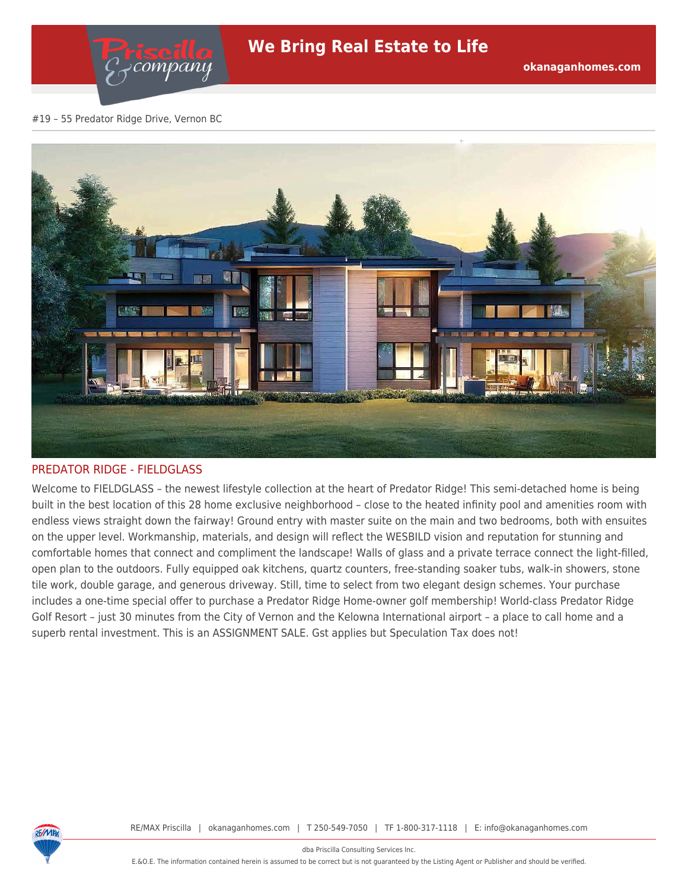#### #19 – 55 Predator Ridge Drive, Vernon BC

company



### PREDATOR RIDGE - FIELDGLASS

Welcome to FIELDGLASS – the newest lifestyle collection at the heart of Predator Ridge! This semi-detached home is being built in the best location of this 28 home exclusive neighborhood – close to the heated infinity pool and amenities room with endless views straight down the fairway! Ground entry with master suite on the main and two bedrooms, both with ensuites on the upper level. Workmanship, materials, and design will reflect the WESBILD vision and reputation for stunning and comfortable homes that connect and compliment the landscape! Walls of glass and a private terrace connect the light-filled, open plan to the outdoors. Fully equipped oak kitchens, quartz counters, free-standing soaker tubs, walk-in showers, stone tile work, double garage, and generous driveway. Still, time to select from two elegant design schemes. Your purchase includes a one-time special offer to purchase a Predator Ridge Home-owner golf membership! World-class Predator Ridge Golf Resort – just 30 minutes from the City of Vernon and the Kelowna International airport – a place to call home and a superb rental investment. This is an ASSIGNMENT SALE. Gst applies but Speculation Tax does not!



RE/MAX Priscilla | okanaganhomes.com | T 250-549-7050 | TF 1-800-317-1118 | E: info@okanaganhomes.com

dba Priscilla Consulting Services Inc.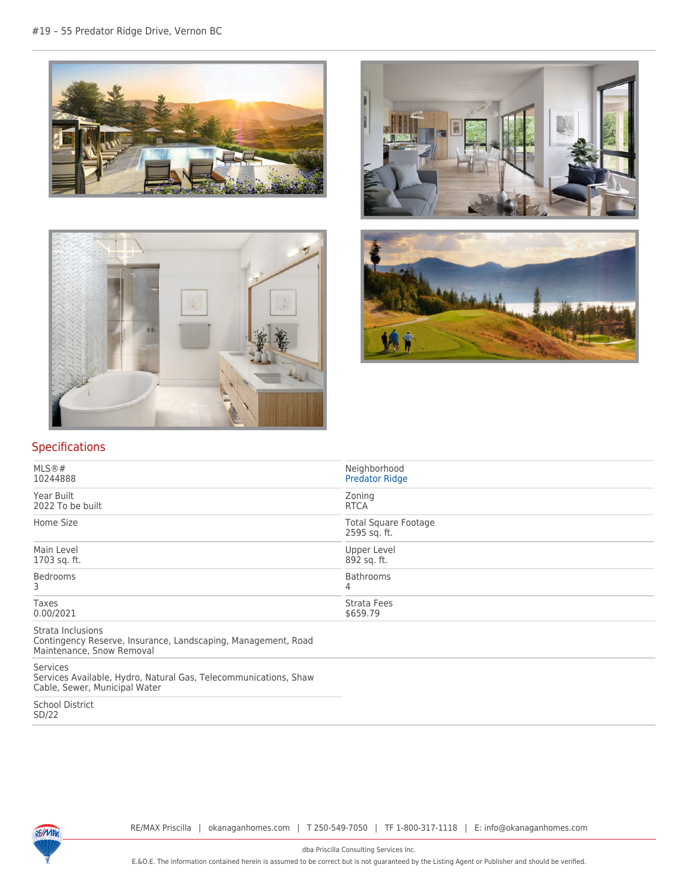







# Specifications

| Neighborhood<br><b>Predator Ridge</b>       |  |
|---------------------------------------------|--|
| Zoning<br><b>RTCA</b>                       |  |
| <b>Total Square Footage</b><br>2595 sq. ft. |  |
| Upper Level<br>892 sq. ft.                  |  |
| Bathrooms<br>4                              |  |
| <b>Strata Fees</b><br>\$659.79              |  |
|                                             |  |

Strata Inclusions

Contingency Reserve, Insurance, Landscaping, Management, Road Maintenance, Snow Removal

Services

Services Available, Hydro, Natural Gas, Telecommunications, Shaw Cable, Sewer, Municipal Water

School District SD/22



dba Priscilla Consulting Services Inc.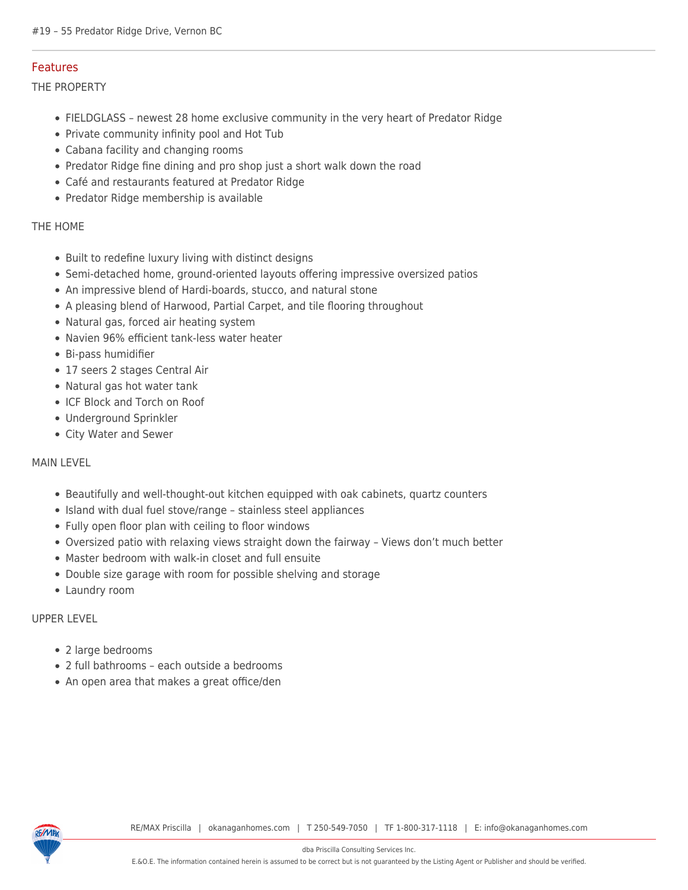## Features

THE PROPERTY

- FIELDGLASS newest 28 home exclusive community in the very heart of Predator Ridge
- Private community infinity pool and Hot Tub
- Cabana facility and changing rooms
- Predator Ridge fine dining and pro shop just a short walk down the road
- Café and restaurants featured at Predator Ridge
- Predator Ridge membership is available

### THE HOME

- Built to redefine luxury living with distinct designs
- Semi-detached home, ground-oriented layouts offering impressive oversized patios
- An impressive blend of Hardi-boards, stucco, and natural stone
- A pleasing blend of Harwood, Partial Carpet, and tile flooring throughout
- Natural gas, forced air heating system
- Navien 96% efficient tank-less water heater
- Bi-pass humidifier
- 17 seers 2 stages Central Air
- Natural gas hot water tank
- ICF Block and Torch on Roof
- Underground Sprinkler
- City Water and Sewer

## MAIN LEVEL

- Beautifully and well-thought-out kitchen equipped with oak cabinets, quartz counters
- Island with dual fuel stove/range stainless steel appliances
- Fully open floor plan with ceiling to floor windows
- Oversized patio with relaxing views straight down the fairway Views don't much better
- Master bedroom with walk-in closet and full ensuite
- Double size garage with room for possible shelving and storage
- Laundry room

### UPPER LEVEL

- 2 large bedrooms
- 2 full bathrooms each outside a bedrooms
- An open area that makes a great office/den